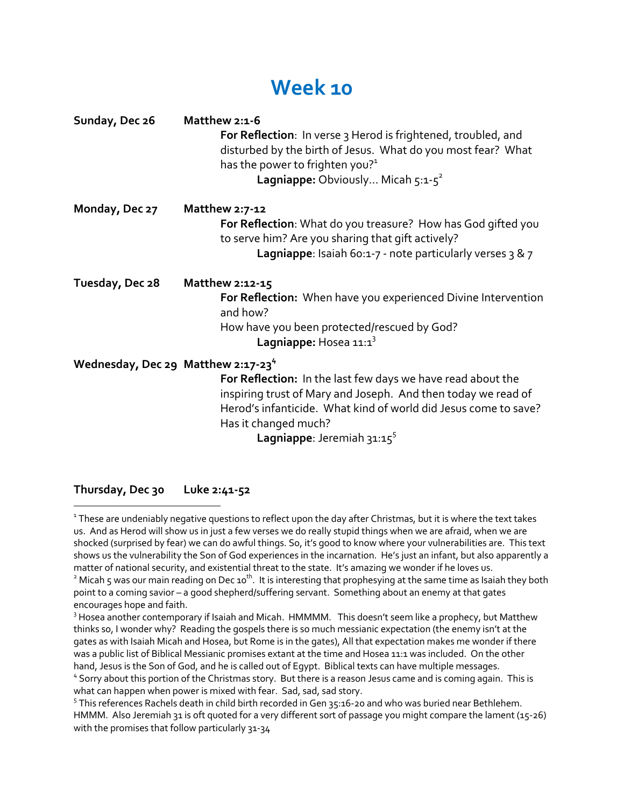## **Week 10**

| Sunday, Dec 26                                 | Matthew 2:1-6<br>For Reflection: In verse 3 Herod is frightened, troubled, and<br>disturbed by the birth of Jesus. What do you most fear? What<br>has the power to frighten you? <sup>1</sup><br><b>Lagniappe:</b> Obviously Micah $5:1-5^2$             |
|------------------------------------------------|----------------------------------------------------------------------------------------------------------------------------------------------------------------------------------------------------------------------------------------------------------|
| Monday, Dec 27                                 | Matthew 2:7-12<br>For Reflection: What do you treasure? How has God gifted you<br>to serve him? Are you sharing that gift actively?<br><b>Lagniappe:</b> Isaiah 60:1-7 - note particularly verses $3 \& 7$                                               |
| Tuesday, Dec 28                                | Matthew 2:12-15<br>For Reflection: When have you experienced Divine Intervention<br>and how?<br>How have you been protected/rescued by God?<br>Lagniappe: Hosea 11:13                                                                                    |
| Wednesday, Dec 29 Matthew 2:17-23 <sup>4</sup> | For Reflection: In the last few days we have read about the<br>inspiring trust of Mary and Joseph. And then today we read of<br>Herod's infanticide. What kind of world did Jesus come to save?<br>Has it changed much?<br>Lagniappe: Jeremiah $31:15^5$ |

**Thursday, Dec 30 Luke 2:41-52**

<sup>1</sup> These are undeniably negative questions to reflect upon the day after Christmas, but it is where the text takes us. And as Herod will show us in just a few verses we do really stupid things when we are afraid, when we are shocked (surprised by fear) we can do awful things. So, it's good to know where your vulnerabilities are. This text shows us the vulnerability the Son of God experiences in the incarnation. He's just an infant, but also apparently a matter of national security, and existential threat to the state. It's amazing we wonder if he loves us.

<sup>&</sup>lt;sup>2</sup> Micah 5 was our main reading on Dec 10<sup>th</sup>. It is interesting that prophesying at the same time as Isaiah they both point to a coming savior – a good shepherd/suffering servant. Something about an enemy at that gates encourages hope and faith.

<sup>&</sup>lt;sup>3</sup> Hosea another contemporary if Isaiah and Micah. HMMMM. This doesn't seem like a prophecy, but Matthew thinks so, I wonder why? Reading the gospels there is so much messianic expectation (the enemy isn't at the gates as with Isaiah Micah and Hosea, but Rome is in the gates), All that expectation makes me wonder if there was a public list of Biblical Messianic promises extant at the time and Hosea 11:1 was included. On the other

hand, Jesus is the Son of God, and he is called out of Egypt. Biblical texts can have multiple messages.<br>4 Sorry about this portion of the Christmas story. But there is a reason Jesus came and is coming again. This is<br>what

<sup>&</sup>lt;sup>5</sup> This references Rachels death in child birth recorded in Gen 35:16-20 and who was buried near Bethlehem. HMMM. Also Jeremiah 31 is oft quoted for a very different sort of passage you might compare the lament (15-26) with the promises that follow particularly 31-34